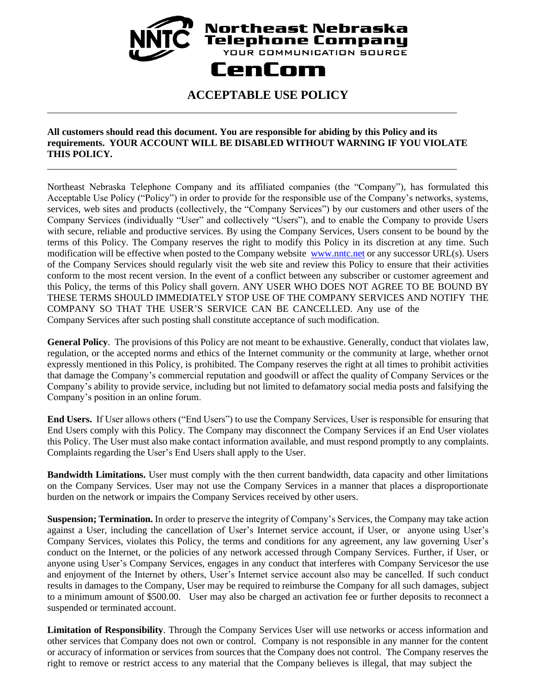## Northeast Nebraska Telephone Company YOUR COMMUNICATION SOURCE CenCom

## **ACCEPTABLE USE POLICY**

## **All customers should read this document. You are responsible for abiding by this Policy and its requirements. YOUR ACCOUNT WILL BE DISABLED WITHOUT WARNING IF YOU VIOLATE THIS POLICY.**

Northeast Nebraska Telephone Company and its affiliated companies (the "Company"), has formulated this Acceptable Use Policy ("Policy") in order to provide for the responsible use of the Company's networks, systems, services, web sites and products (collectively, the "Company Services") by our customers and other users of the Company Services (individually "User" and collectively "Users"), and to enable the Company to provide Users with secure, reliable and productive services. By using the Company Services, Users consent to be bound by the terms of this Policy. The Company reserves the right to modify this Policy in its discretion at any time. Such modification will be effective when posted to the Company website [www.nntc.net](http://www.nntc.net/) or any successor URL(s). Users of the Company Services should regularly visit the web site and review this Policy to ensure that their activities conform to the most recent version. In the event of a conflict between any subscriber or customer agreement and this Policy, the terms of this Policy shall govern. ANY USER WHO DOES NOT AGREE TO BE BOUND BY THESE TERMS SHOULD IMMEDIATELY STOP USE OF THE COMPANY SERVICES AND NOTIFY THE COMPANY SO THAT THE USER'S SERVICE CAN BE CANCELLED. Any use of the Company Services after such posting shall constitute acceptance of such modification.

**General Policy**. The provisions of this Policy are not meant to be exhaustive. Generally, conduct that violates law, regulation, or the accepted norms and ethics of the Internet community or the community at large, whether ornot expressly mentioned in this Policy, is prohibited. The Company reserves the right at all times to prohibit activities that damage the Company's commercial reputation and goodwill or affect the quality of Company Services or the Company's ability to provide service, including but not limited to defamatory social media posts and falsifying the Company's position in an online forum.

**End Users.** If User allows others ("End Users") to use the Company Services, User is responsible for ensuring that End Users comply with this Policy. The Company may disconnect the Company Services if an End User violates this Policy. The User must also make contact information available, and must respond promptly to any complaints. Complaints regarding the User's End Users shall apply to the User.

**Bandwidth Limitations.** User must comply with the then current bandwidth, data capacity and other limitations on the Company Services. User may not use the Company Services in a manner that places a disproportionate burden on the network or impairs the Company Services received by other users.

**Suspension; Termination.** In order to preserve the integrity of Company's Services, the Company may take action against a User, including the cancellation of User's Internet service account, if User, or anyone using User's Company Services, violates this Policy, the terms and conditions for any agreement, any law governing User's conduct on the Internet, or the policies of any network accessed through Company Services. Further, if User, or anyone using User's Company Services, engages in any conduct that interferes with Company Servicesor the use and enjoyment of the Internet by others, User's Internet service account also may be cancelled. If such conduct results in damages to the Company, User may be required to reimburse the Company for all such damages, subject to a minimum amount of \$500.00. User may also be charged an activation fee or further deposits to reconnect a suspended or terminated account.

**Limitation of Responsibility**. Through the Company Services User will use networks or access information and other services that Company does not own or control. Company is not responsible in any manner for the content or accuracy of information or services from sources that the Company does not control. The Company reserves the right to remove or restrict access to any material that the Company believes is illegal, that may subject the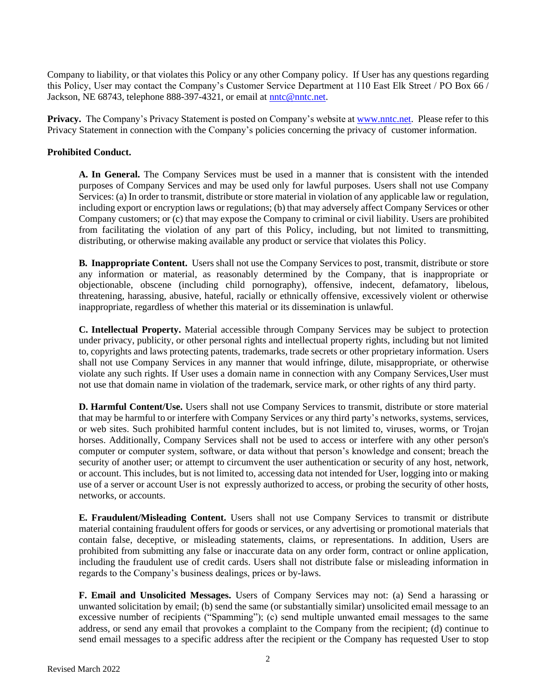Company to liability, or that violates this Policy or any other Company policy. If User has any questions regarding this Policy, User may contact the Company's Customer Service Department at 110 East Elk Street / PO Box 66 / Jackson, NE 68743, telephone 888-397-4321, or email at [nntc@nntc.net.](mailto:nntc@nntc.net)

**Privacy.** The Company's Privacy Statement is posted on Company's website at [www.nntc.net.](http://www.nntc.net/) Please refer to this Privacy Statement in connection with the Company's policies concerning the privacy of customer information.

## **Prohibited Conduct.**

**A. In General.** The Company Services must be used in a manner that is consistent with the intended purposes of Company Services and may be used only for lawful purposes. Users shall not use Company Services: (a) In order to transmit, distribute or store material in violation of any applicable law or regulation, including export or encryption laws or regulations; (b) that may adversely affect Company Services or other Company customers; or (c) that may expose the Company to criminal or civil liability. Users are prohibited from facilitating the violation of any part of this Policy, including, but not limited to transmitting, distributing, or otherwise making available any product or service that violates this Policy.

**B. Inappropriate Content.** Users shall not use the Company Services to post, transmit, distribute or store any information or material, as reasonably determined by the Company, that is inappropriate or objectionable, obscene (including child pornography), offensive, indecent, defamatory, libelous, threatening, harassing, abusive, hateful, racially or ethnically offensive, excessively violent or otherwise inappropriate, regardless of whether this material or its dissemination is unlawful.

**C. Intellectual Property.** Material accessible through Company Services may be subject to protection under privacy, publicity, or other personal rights and intellectual property rights, including but not limited to, copyrights and laws protecting patents, trademarks, trade secrets or other proprietary information. Users shall not use Company Services in any manner that would infringe, dilute, misappropriate, or otherwise violate any such rights. If User uses a domain name in connection with any Company Services,User must not use that domain name in violation of the trademark, service mark, or other rights of any third party.

**D. Harmful Content/Use.** Users shall not use Company Services to transmit, distribute or store material that may be harmful to or interfere with Company Services or any third party's networks, systems, services, or web sites. Such prohibited harmful content includes, but is not limited to, viruses, worms, or Trojan horses. Additionally, Company Services shall not be used to access or interfere with any other person's computer or computer system, software, or data without that person's knowledge and consent; breach the security of another user; or attempt to circumvent the user authentication or security of any host, network, or account. This includes, but is not limited to, accessing data not intended for User, logging into or making use of a server or account User is not expressly authorized to access, or probing the security of other hosts, networks, or accounts.

**E. Fraudulent/Misleading Content.** Users shall not use Company Services to transmit or distribute material containing fraudulent offers for goods or services, or any advertising or promotional materials that contain false, deceptive, or misleading statements, claims, or representations. In addition, Users are prohibited from submitting any false or inaccurate data on any order form, contract or online application, including the fraudulent use of credit cards. Users shall not distribute false or misleading information in regards to the Company's business dealings, prices or by-laws.

**F. Email and Unsolicited Messages.** Users of Company Services may not: (a) Send a harassing or unwanted solicitation by email; (b) send the same (or substantially similar) unsolicited email message to an excessive number of recipients ("Spamming"); (c) send multiple unwanted email messages to the same address, or send any email that provokes a complaint to the Company from the recipient; (d) continue to send email messages to a specific address after the recipient or the Company has requested User to stop